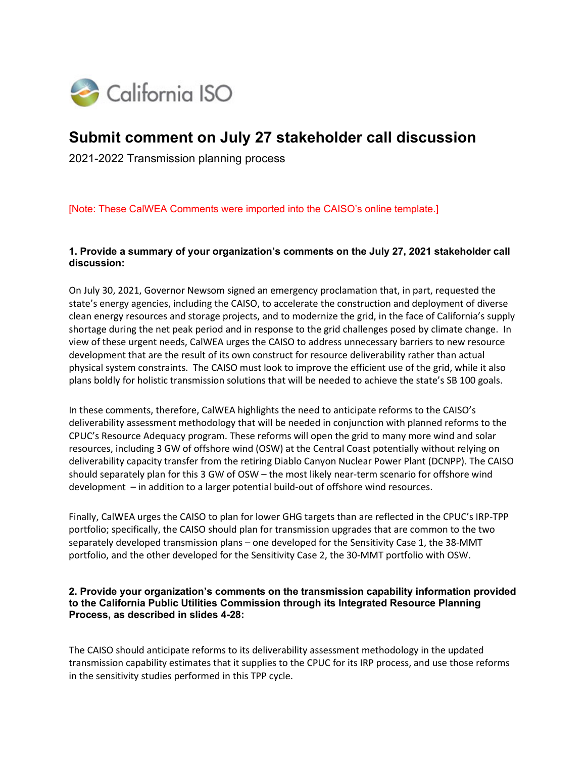

# **Submit comment on July 27 stakeholder call discussion**

2021-2022 Transmission planning process

[Note: These CalWEA Comments were imported into the CAISO's online template.]

#### **1. Provide a summary of your organization's comments on the July 27, 2021 stakeholder call discussion:**

On July 30, 2021, Governor Newsom signed an emergency proclamation that, in part, requested the state's energy agencies, including the CAISO, to accelerate the construction and deployment of diverse clean energy resources and storage projects, and to modernize the grid, in the face of California's supply shortage during the net peak period and in response to the grid challenges posed by climate change. In view of these urgent needs, CalWEA urges the CAISO to address unnecessary barriers to new resource development that are the result of its own construct for resource deliverability rather than actual physical system constraints. The CAISO must look to improve the efficient use of the grid, while it also plans boldly for holistic transmission solutions that will be needed to achieve the state's SB 100 goals.

In these comments, therefore, CalWEA highlights the need to anticipate reforms to the CAISO's deliverability assessment methodology that will be needed in conjunction with planned reforms to the CPUC's Resource Adequacy program. These reforms will open the grid to many more wind and solar resources, including 3 GW of offshore wind (OSW) at the Central Coast potentially without relying on deliverability capacity transfer from the retiring Diablo Canyon Nuclear Power Plant (DCNPP). The CAISO should separately plan for this 3 GW of OSW – the most likely near-term scenario for offshore wind development – in addition to a larger potential build-out of offshore wind resources.

Finally, CalWEA urges the CAISO to plan for lower GHG targets than are reflected in the CPUC's IRP-TPP portfolio; specifically, the CAISO should plan for transmission upgrades that are common to the two separately developed transmission plans – one developed for the Sensitivity Case 1, the 38-MMT portfolio, and the other developed for the Sensitivity Case 2, the 30-MMT portfolio with OSW.

#### **2. Provide your organization's comments on the transmission capability information provided to the California Public Utilities Commission through its Integrated Resource Planning Process, as described in slides 4-28:**

The CAISO should anticipate reforms to its deliverability assessment methodology in the updated transmission capability estimates that it supplies to the CPUC for its IRP process, and use those reforms in the sensitivity studies performed in this TPP cycle.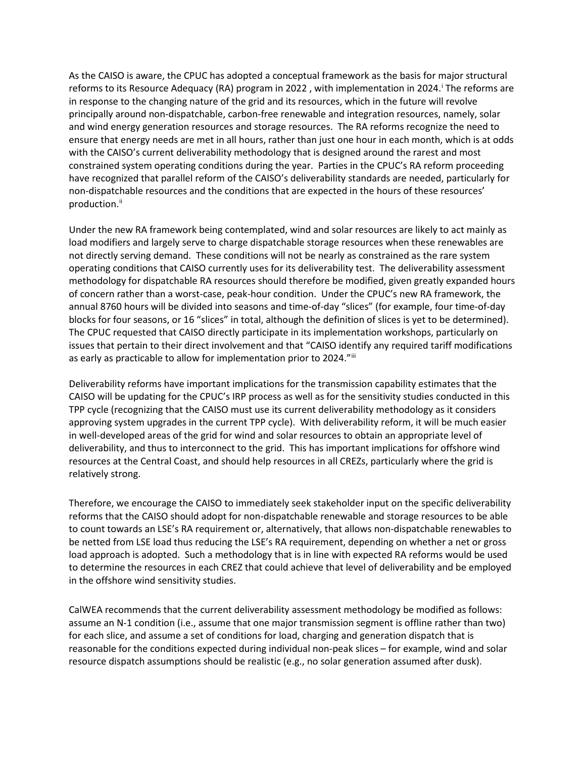As the CAISO is aware, the CPUC has adopted a conceptual framework as the basis for major structural reforms to [i](#page-5-0)ts Resource Adequacy (RA) program in 2022, with implementation in 2024.<sup>1</sup> The reforms are in response to the changing nature of the grid and its resources, which in the future will revolve principally around non-dispatchable, carbon-free renewable and integration resources, namely, solar and wind energy generation resources and storage resources. The RA reforms recognize the need to ensure that energy needs are met in all hours, rather than just one hour in each month, which is at odds with the CAISO's current deliverability methodology that is designed around the rarest and most constrained system operating conditions during the year. Parties in the CPUC's RA reform proceeding have recognized that parallel reform of the CAISO's deliverability standards are needed, particularly for non-dispatchable resources and the conditions that are expected in the hours of these resources' production.<sup>[ii](#page-5-1)</sup>

Under the new RA framework being contemplated, wind and solar resources are likely to act mainly as load modifiers and largely serve to charge dispatchable storage resources when these renewables are not directly serving demand. These conditions will not be nearly as constrained as the rare system operating conditions that CAISO currently uses for its deliverability test. The deliverability assessment methodology for dispatchable RA resources should therefore be modified, given greatly expanded hours of concern rather than a worst-case, peak-hour condition. Under the CPUC's new RA framework, the annual 8760 hours will be divided into seasons and time-of-day "slices" (for example, four time-of-day blocks for four seasons, or 16 "slices" in total, although the definition of slices is yet to be determined). The CPUC requested that CAISO directly participate in its implementation workshops, particularly on issues that pertain to their direct involvement and that "CAISO identify any required tariff modifications as early as practicable to allow for implementation prior to 2024."[iii](#page-5-2)

Deliverability reforms have important implications for the transmission capability estimates that the CAISO will be updating for the CPUC's IRP process as well as for the sensitivity studies conducted in this TPP cycle (recognizing that the CAISO must use its current deliverability methodology as it considers approving system upgrades in the current TPP cycle). With deliverability reform, it will be much easier in well-developed areas of the grid for wind and solar resources to obtain an appropriate level of deliverability, and thus to interconnect to the grid. This has important implications for offshore wind resources at the Central Coast, and should help resources in all CREZs, particularly where the grid is relatively strong.

Therefore, we encourage the CAISO to immediately seek stakeholder input on the specific deliverability reforms that the CAISO should adopt for non-dispatchable renewable and storage resources to be able to count towards an LSE's RA requirement or, alternatively, that allows non-dispatchable renewables to be netted from LSE load thus reducing the LSE's RA requirement, depending on whether a net or gross load approach is adopted. Such a methodology that is in line with expected RA reforms would be used to determine the resources in each CREZ that could achieve that level of deliverability and be employed in the offshore wind sensitivity studies.

CalWEA recommends that the current deliverability assessment methodology be modified as follows: assume an N-1 condition (i.e., assume that one major transmission segment is offline rather than two) for each slice, and assume a set of conditions for load, charging and generation dispatch that is reasonable for the conditions expected during individual non-peak slices – for example, wind and solar resource dispatch assumptions should be realistic (e.g., no solar generation assumed after dusk).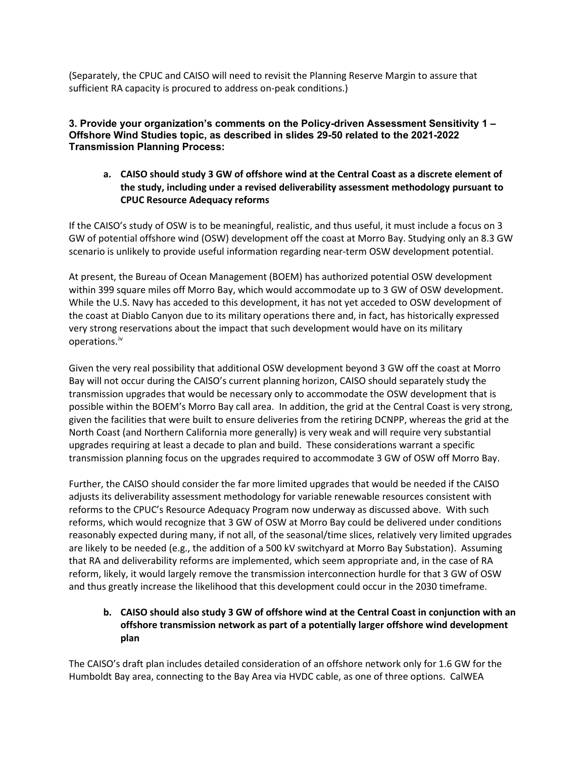(Separately, the CPUC and CAISO will need to revisit the Planning Reserve Margin to assure that sufficient RA capacity is procured to address on-peak conditions.)

**3. Provide your organization's comments on the Policy-driven Assessment Sensitivity 1 – Offshore Wind Studies topic, as described in slides 29-50 related to the 2021-2022 Transmission Planning Process:**

## **a. CAISO should study 3 GW of offshore wind at the Central Coast as a discrete element of the study, including under a revised deliverability assessment methodology pursuant to CPUC Resource Adequacy reforms**

If the CAISO's study of OSW is to be meaningful, realistic, and thus useful, it must include a focus on 3 GW of potential offshore wind (OSW) development off the coast at Morro Bay. Studying only an 8.3 GW scenario is unlikely to provide useful information regarding near-term OSW development potential.

At present, the Bureau of Ocean Management (BOEM) has authorized potential OSW development within 399 square miles off Morro Bay, which would accommodate up to 3 GW of OSW development. While the U.S. Navy has acceded to this development, it has not yet acceded to OSW development of the coast at Diablo Canyon due to its military operations there and, in fact, has historically expressed very strong reservations about the impact that such development would have on its military operations. [iv](#page-5-3)

Given the very real possibility that additional OSW development beyond 3 GW off the coast at Morro Bay will not occur during the CAISO's current planning horizon, CAISO should separately study the transmission upgrades that would be necessary only to accommodate the OSW development that is possible within the BOEM's Morro Bay call area. In addition, the grid at the Central Coast is very strong, given the facilities that were built to ensure deliveries from the retiring DCNPP, whereas the grid at the North Coast (and Northern California more generally) is very weak and will require very substantial upgrades requiring at least a decade to plan and build. These considerations warrant a specific transmission planning focus on the upgrades required to accommodate 3 GW of OSW off Morro Bay.

Further, the CAISO should consider the far more limited upgrades that would be needed if the CAISO adjusts its deliverability assessment methodology for variable renewable resources consistent with reforms to the CPUC's Resource Adequacy Program now underway as discussed above. With such reforms, which would recognize that 3 GW of OSW at Morro Bay could be delivered under conditions reasonably expected during many, if not all, of the seasonal/time slices, relatively very limited upgrades are likely to be needed (e.g., the addition of a 500 kV switchyard at Morro Bay Substation). Assuming that RA and deliverability reforms are implemented, which seem appropriate and, in the case of RA reform, likely, it would largely remove the transmission interconnection hurdle for that 3 GW of OSW and thus greatly increase the likelihood that this development could occur in the 2030 timeframe.

# **b. CAISO should also study 3 GW of offshore wind at the Central Coast in conjunction with an offshore transmission network as part of a potentially larger offshore wind development plan**

The CAISO's draft plan includes detailed consideration of an offshore network only for 1.6 GW for the Humboldt Bay area, connecting to the Bay Area via HVDC cable, as one of three options. CalWEA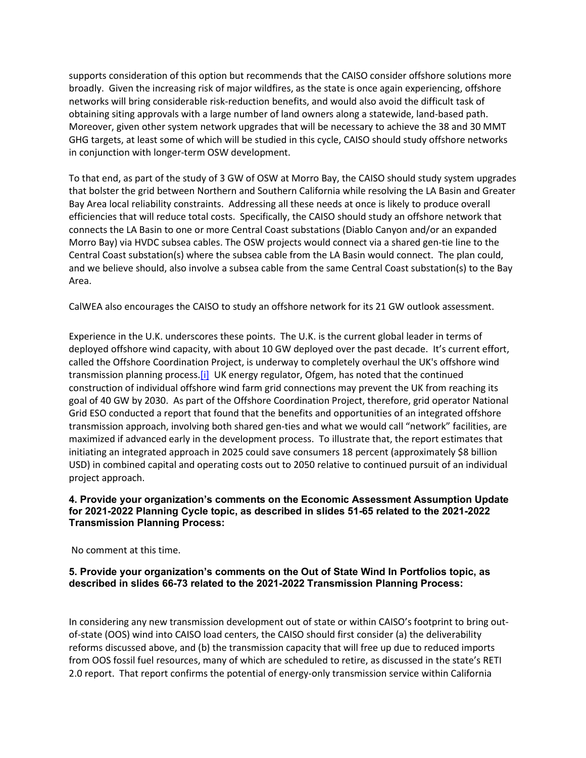supports consideration of this option but recommends that the CAISO consider offshore solutions more broadly. Given the increasing risk of major wildfires, as the state is once again experiencing, offshore networks will bring considerable risk-reduction benefits, and would also avoid the difficult task of obtaining siting approvals with a large number of land owners along a statewide, land-based path. Moreover, given other system network upgrades that will be necessary to achieve the 38 and 30 MMT GHG targets, at least some of which will be studied in this cycle, CAISO should study offshore networks in conjunction with longer-term OSW development.

To that end, as part of the study of 3 GW of OSW at Morro Bay, the CAISO should study system upgrades that bolster the grid between Northern and Southern California while resolving the LA Basin and Greater Bay Area local reliability constraints. Addressing all these needs at once is likely to produce overall efficiencies that will reduce total costs. Specifically, the CAISO should study an offshore network that connects the LA Basin to one or more Central Coast substations (Diablo Canyon and/or an expanded Morro Bay) via HVDC subsea cables. The OSW projects would connect via a shared gen-tie line to the Central Coast substation(s) where the subsea cable from the LA Basin would connect. The plan could, and we believe should, also involve a subsea cable from the same Central Coast substation(s) to the Bay Area.

CalWEA also encourages the CAISO to study an offshore network for its 21 GW outlook assessment.

Experience in the U.K. underscores these points. The U.K. is the current global leader in terms of deployed offshore wind capacity, with about 10 GW deployed over the past decade. It's current effort, called the Offshore Coordination Project, is underway to completely overhaul the UK's offshore wind transmission planning process.[i] UK energy regulator, Ofgem, has noted that the continued construction of individual offshore wind farm grid connections may prevent the UK from reaching its goal of 40 GW by 2030. As part of the Offshore Coordination Project, therefore, grid operator National Grid ESO conducted a report that found that the benefits and opportunities of an integrated offshore transmission approach, involving both shared gen-ties and what we would call "network" facilities, are maximized if advanced early in the development process. To illustrate that, the report estimates that initiating an integrated approach in 2025 could save consumers 18 percent (approximately \$8 billion USD) in combined capital and operating costs out to 2050 relative to continued pursuit of an individual project approach.

#### **4. Provide your organization's comments on the Economic Assessment Assumption Update for 2021-2022 Planning Cycle topic, as described in slides 51-65 related to the 2021-2022 Transmission Planning Process:**

No comment at this time.

## **5. Provide your organization's comments on the Out of State Wind In Portfolios topic, as described in slides 66-73 related to the 2021-2022 Transmission Planning Process:**

In considering any new transmission development out of state or within CAISO's footprint to bring outof-state (OOS) wind into CAISO load centers, the CAISO should first consider (a) the deliverability reforms discussed above, and (b) the transmission capacity that will free up due to reduced imports from OOS fossil fuel resources, many of which are scheduled to retire, as discussed in the state's RETI 2.0 report. That report confirms the potential of energy-only transmission service within California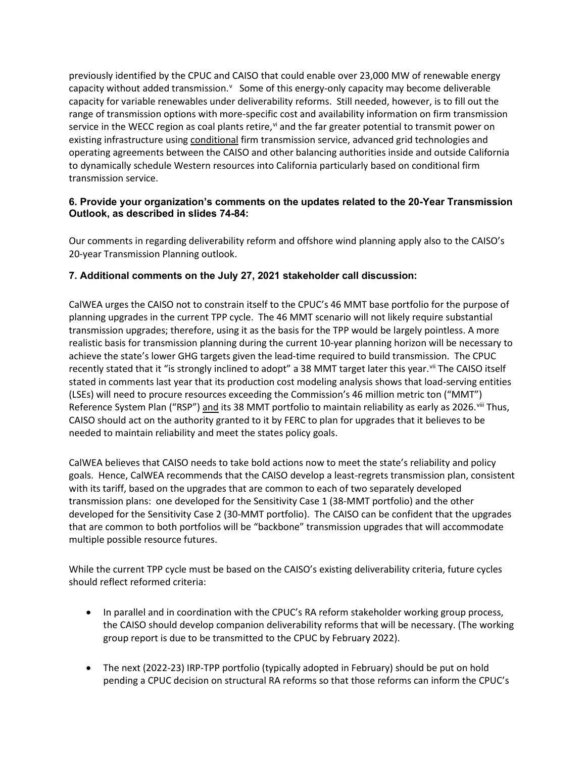previously identified by the CPUC and CAISO that could enable over 23,000 MW of renewable energy capacity without added transmission. Y Some of this energy-only capacity may become deli[v](#page-5-4)erable capacity for variable renewables under deliverability reforms. Still needed, however, is to fill out the range of transmission options with more-specific cost and availability information on firm transmission ser[vi](#page-5-5)ce in the WECC region as coal plants retire,  $\theta$  and the far greater potential to transmit power on existing infrastructure using conditional firm transmission service, advanced grid technologies and operating agreements between the CAISO and other balancing authorities inside and outside California to dynamically schedule Western resources into California particularly based on conditional firm transmission service.

## **6. Provide your organization's comments on the updates related to the 20-Year Transmission Outlook, as described in slides 74-84:**

Our comments in regarding deliverability reform and offshore wind planning apply also to the CAISO's 20-year Transmission Planning outlook.

# **7. Additional comments on the July 27, 2021 stakeholder call discussion:**

CalWEA urges the CAISO not to constrain itself to the CPUC's 46 MMT base portfolio for the purpose of planning upgrades in the current TPP cycle. The 46 MMT scenario will not likely require substantial transmission upgrades; therefore, using it as the basis for the TPP would be largely pointless. A more realistic basis for transmission planning during the current 10-year planning horizon will be necessary to achieve the state's lower GHG targets given the lead-time required to build transmission. The CPUC recently stated that it "is strongly inclined to adopt" a 38 MMT target later this year. Vii The CAISO itself stated in comments last year that its production cost modeling analysis shows that load-serving entities (LSEs) will need to procure resources exceeding the Commission's 46 million metric ton ("MMT") Reference System Plan ("RSP") and its 38 MMT portfolio to maintain reliability as early as 2026. Viii Thus, CAISO should act on the authority granted to it by FERC to plan for upgrades that it believes to be needed to maintain reliability and meet the states policy goals.

CalWEA believes that CAISO needs to take bold actions now to meet the state's reliability and policy goals. Hence, CalWEA recommends that the CAISO develop a least-regrets transmission plan, consistent with its tariff, based on the upgrades that are common to each of two separately developed transmission plans: one developed for the Sensitivity Case 1 (38-MMT portfolio) and the other developed for the Sensitivity Case 2 (30-MMT portfolio). The CAISO can be confident that the upgrades that are common to both portfolios will be "backbone" transmission upgrades that will accommodate multiple possible resource futures.

While the current TPP cycle must be based on the CAISO's existing deliverability criteria, future cycles should reflect reformed criteria:

- In parallel and in coordination with the CPUC's RA reform stakeholder working group process, the CAISO should develop companion deliverability reforms that will be necessary. (The working group report is due to be transmitted to the CPUC by February 2022).
- The next (2022-23) IRP-TPP portfolio (typically adopted in February) should be put on hold pending a CPUC decision on structural RA reforms so that those reforms can inform the CPUC's